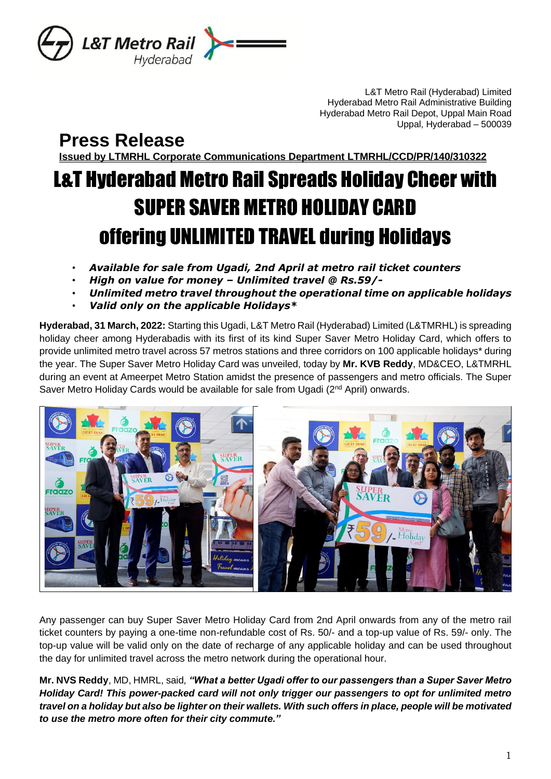

L&T Metro Rail (Hyderabad) Limited Hyderabad Metro Rail Administrative Building Hyderabad Metro Rail Depot, Uppal Main Road Uppal, Hyderabad – 500039

**Press Release**

**Issued by LTMRHL Corporate Communications Department LTMRHL/CCD/PR/140/310322**

# L&T Hyderabad Metro Rail Spreads Holiday Cheer with SUPER SAVER METRO HOLIDAY CARD offering UNLIMITED TRAVEL during Holidays

- *Available for sale from Ugadi, 2nd April at metro rail ticket counters*
- *High on value for money – Unlimited travel @ Rs.59/-*
- *Unlimited metro travel throughout the operational time on applicable holidays*
- *Valid only on the applicable Holidays\**

**Hyderabad, 31 March, 2022:** Starting this Ugadi, L&T Metro Rail (Hyderabad) Limited (L&TMRHL) is spreading holiday cheer among Hyderabadis with its first of its kind Super Saver Metro Holiday Card, which offers to provide unlimited metro travel across 57 metros stations and three corridors on 100 applicable holidays\* during the year. The Super Saver Metro Holiday Card was unveiled, today by **Mr. KVB Reddy**, MD&CEO, L&TMRHL during an event at Ameerpet Metro Station amidst the presence of passengers and metro officials. The Super Saver Metro Holiday Cards would be available for sale from Ugadi (2<sup>nd</sup> April) onwards.



Any passenger can buy Super Saver Metro Holiday Card from 2nd April onwards from any of the metro rail ticket counters by paying a one-time non-refundable cost of Rs. 50/- and a top-up value of Rs. 59/- only. The top-up value will be valid only on the date of recharge of any applicable holiday and can be used throughout the day for unlimited travel across the metro network during the operational hour.

**Mr. NVS Reddy**, MD, HMRL, said*, "What a better Ugadi offer to our passengers than a Super Saver Metro Holiday Card! This power-packed card will not only trigger our passengers to opt for unlimited metro travel on a holiday but also be lighter on their wallets. With such offers in place, people will be motivated to use the metro more often for their city commute."*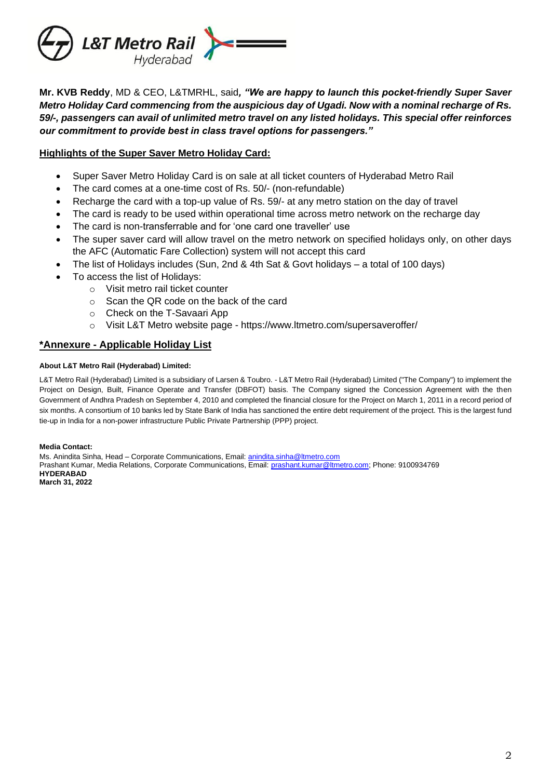

**Mr. KVB Reddy**, MD & CEO, L&TMRHL, said*, "We are happy to launch this pocket-friendly Super Saver Metro Holiday Card commencing from the auspicious day of Ugadi. Now with a nominal recharge of Rs. 59/-, passengers can avail of unlimited metro travel on any listed holidays. This special offer reinforces our commitment to provide best in class travel options for passengers."*

### **Highlights of the Super Saver Metro Holiday Card:**

- Super Saver Metro Holiday Card is on sale at all ticket counters of Hyderabad Metro Rail
- The card comes at a one-time cost of Rs. 50/- (non-refundable)
- Recharge the card with a top-up value of Rs. 59/- at any metro station on the day of travel
- The card is ready to be used within operational time across metro network on the recharge day
- The card is non-transferrable and for 'one card one traveller' use
- The super saver card will allow travel on the metro network on specified holidays only, on other days the AFC (Automatic Fare Collection) system will not accept this card
- The list of Holidays includes (Sun, 2nd & 4th Sat & Govt holidays a total of 100 days)
- To access the list of Holidays:
	- o Visit metro rail ticket counter
	- o Scan the QR code on the back of the card
	- o Check on the T-Savaari App
	- o Visit L&T Metro website page https://www.ltmetro.com/supersaveroffer/

## **\*Annexure - Applicable Holiday List**

#### **About L&T Metro Rail (Hyderabad) Limited:**

L&T Metro Rail (Hyderabad) Limited is a subsidiary of Larsen & Toubro. - L&T Metro Rail (Hyderabad) Limited ("The Company") to implement the Project on Design, Built, Finance Operate and Transfer (DBFOT) basis. The Company signed the Concession Agreement with the then Government of Andhra Pradesh on September 4, 2010 and completed the financial closure for the Project on March 1, 2011 in a record period of six months. A consortium of 10 banks led by State Bank of India has sanctioned the entire debt requirement of the project. This is the largest fund tie-up in India for a non-power infrastructure Public Private Partnership (PPP) project.

#### **Media Contact:**

Ms. Anindita Sinha, Head – Corporate Communications, Email: [anindita.sinha@ltmetro.com](mailto:anindita.sinha@ltmetro.com) Prashant Kumar, Media Relations, Corporate Communications, Email: [prashant.kumar@ltmetro.com;](mailto:prashant.kumar@ltmetro.com) Phone: 9100934769 **HYDERABAD March 31, 2022**